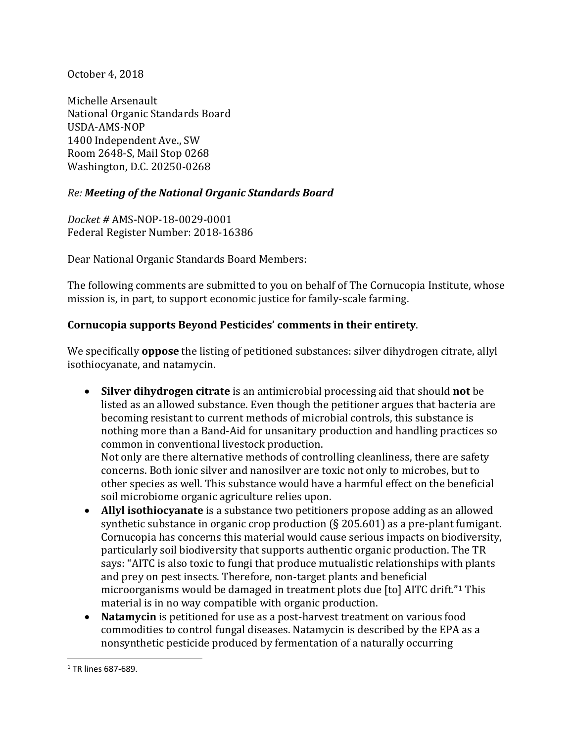October 4, 2018

Michelle Arsenault National Organic Standards Board USDA-AMS-NOP 1400 Independent Ave., SW Room 2648-S, Mail Stop 0268 Washington, D.C. 20250-0268

## *Re: Meeting of the National Organic Standards Board*

*Docket #* AMS-NOP-18-0029-0001 Federal Register Number: 2018-16386

Dear National Organic Standards Board Members:

The following comments are submitted to you on behalf of The Cornucopia Institute, whose mission is, in part, to support economic justice for family-scale farming.

## **Cornucopia supports Beyond Pesticides' comments in their entirety**.

We specifically **oppose** the listing of petitioned substances: silver dihydrogen citrate, allyl isothiocyanate, and natamycin.

- **Silver dihydrogen citrate** is an antimicrobial processing aid that should **not** be listed as an allowed substance. Even though the petitioner argues that bacteria are becoming resistant to current methods of microbial controls, this substance is nothing more than a Band-Aid for unsanitary production and handling practices so common in conventional livestock production. Not only are there alternative methods of controlling cleanliness, there are safety concerns. Both ionic silver and nanosilver are toxic not only to microbes, but to other species as well. This substance would have a harmful effect on the beneficial
- soil microbiome organic agriculture relies upon. **Allyl isothiocyanate** is a substance two petitioners propose adding as an allowed synthetic substance in organic crop production (§ 205.601) as a pre-plant fumigant. Cornucopia has concerns this material would cause serious impacts on biodiversity, particularly soil biodiversity that supports authentic organic production. The TR says: "AITC is also toxic to fungi that produce mutualistic relationships with plants and prey on pest insects. Therefore, non-target plants and beneficial microorganisms would be damaged in treatment plots due [to] AITC drift."<sup>1</sup> This material is in no way compatible with organic production.
- **Natamycin** is petitioned for use as a post-harvest treatment on various food commodities to control fungal diseases. Natamycin is described by the EPA as a nonsynthetic pesticide produced by fermentation of a naturally occurring

 $\overline{\phantom{a}}$ 

<sup>1</sup> TR lines 687-689.